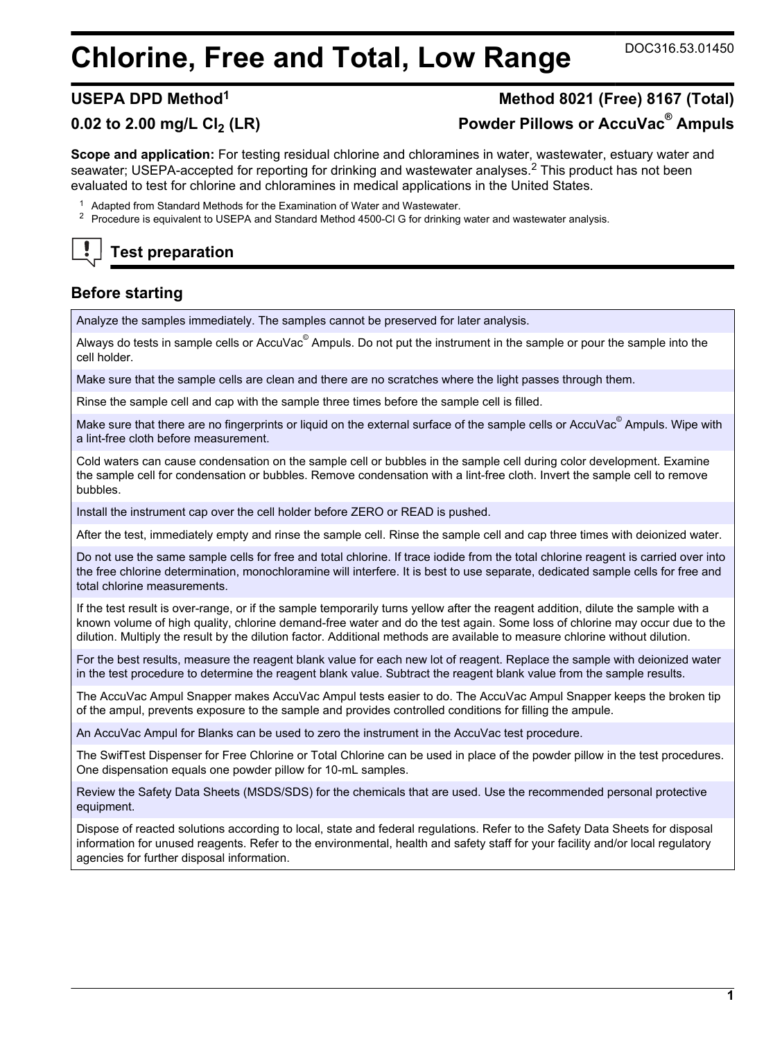# **Chlorine, Free and Total, Low Range** DOC316.53.01450

**Test preparation**

# **USEPA DPD Method<sup>1</sup> Method 8021 (Free) 8167 (Total) 0.02 to 2.00 mg/L Cl2 (LR) Powder Pillows or AccuVac® Ampuls**

**Scope and application:** For testing residual chlorine and chloramines in water, wastewater, estuary water and seawater; USEPA-accepted for reporting for drinking and wastewater analyses.<sup>2</sup> This product has not been evaluated to test for chlorine and chloramines in medical applications in the United States.

- <sup>1</sup> Adapted from Standard Methods for the Examination of Water and Wastewater.
- <sup>2</sup> Procedure is equivalent to USEPA and Standard Method 4500-Cl G for drinking water and wastewater analysis.

# **Before starting**

Analyze the samples immediately. The samples cannot be preserved for later analysis.

Always do tests in sample cells or AccuVac $^\circ$  Ampuls. Do not put the instrument in the sample or pour the sample into the cell holder.

Make sure that the sample cells are clean and there are no scratches where the light passes through them.

Rinse the sample cell and cap with the sample three times before the sample cell is filled.

Make sure that there are no fingerprints or liquid on the external surface of the sample cells or AccuVac $^\circ$  Ampuls. Wipe with a lint-free cloth before measurement.

Cold waters can cause condensation on the sample cell or bubbles in the sample cell during color development. Examine the sample cell for condensation or bubbles. Remove condensation with a lint-free cloth. Invert the sample cell to remove bubbles.

Install the instrument cap over the cell holder before ZERO or READ is pushed.

After the test, immediately empty and rinse the sample cell. Rinse the sample cell and cap three times with deionized water.

Do not use the same sample cells for free and total chlorine. If trace iodide from the total chlorine reagent is carried over into the free chlorine determination, monochloramine will interfere. It is best to use separate, dedicated sample cells for free and total chlorine measurements.

If the test result is over-range, or if the sample temporarily turns yellow after the reagent addition, dilute the sample with a known volume of high quality, chlorine demand-free water and do the test again. Some loss of chlorine may occur due to the dilution. Multiply the result by the dilution factor. Additional methods are available to measure chlorine without dilution.

For the best results, measure the reagent blank value for each new lot of reagent. Replace the sample with deionized water in the test procedure to determine the reagent blank value. Subtract the reagent blank value from the sample results.

The AccuVac Ampul Snapper makes AccuVac Ampul tests easier to do. The AccuVac Ampul Snapper keeps the broken tip of the ampul, prevents exposure to the sample and provides controlled conditions for filling the ampule.

An AccuVac Ampul for Blanks can be used to zero the instrument in the AccuVac test procedure.

The SwifTest Dispenser for Free Chlorine or Total Chlorine can be used in place of the powder pillow in the test procedures. One dispensation equals one powder pillow for 10-mL samples.

Review the Safety Data Sheets (MSDS/SDS) for the chemicals that are used. Use the recommended personal protective equipment.

Dispose of reacted solutions according to local, state and federal regulations. Refer to the Safety Data Sheets for disposal information for unused reagents. Refer to the environmental, health and safety staff for your facility and/or local regulatory agencies for further disposal information.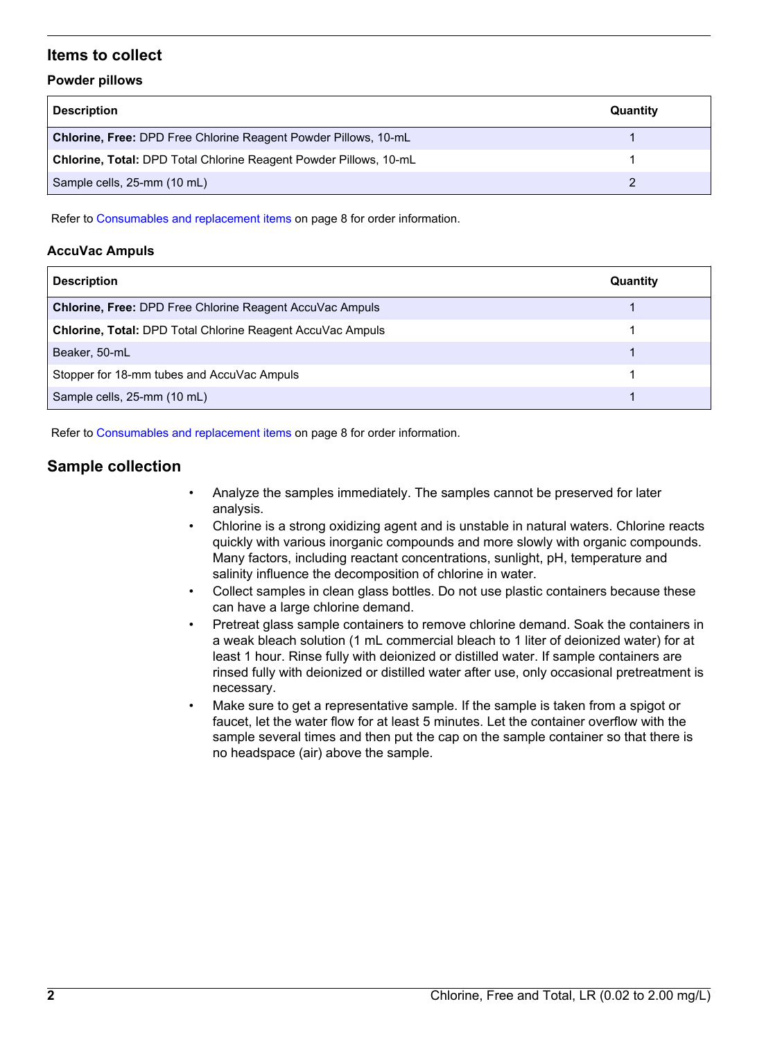# **Items to collect**

## **Powder pillows**

| <b>Description</b>                                                     | Quantity |
|------------------------------------------------------------------------|----------|
| <b>Chlorine, Free: DPD Free Chlorine Reagent Powder Pillows, 10-mL</b> |          |
| Chlorine, Total: DPD Total Chlorine Reagent Powder Pillows, 10-mL      |          |
| Sample cells, 25-mm (10 mL)                                            |          |

Refer to [Consumables and replacement items](#page-7-0) on page 8 for order information.

# **AccuVac Ampuls**

| <b>Description</b>                                                | Quantity |
|-------------------------------------------------------------------|----------|
| <b>Chlorine, Free: DPD Free Chlorine Reagent AccuVac Ampuls</b>   |          |
| <b>Chlorine, Total: DPD Total Chlorine Reagent AccuVac Ampuls</b> |          |
| Beaker, 50-mL                                                     |          |
| Stopper for 18-mm tubes and AccuVac Ampuls                        |          |
| Sample cells, 25-mm (10 mL)                                       |          |

Refer to [Consumables and replacement items](#page-7-0) on page 8 for order information.

# **Sample collection**

- Analyze the samples immediately. The samples cannot be preserved for later analysis.
- Chlorine is a strong oxidizing agent and is unstable in natural waters. Chlorine reacts quickly with various inorganic compounds and more slowly with organic compounds. Many factors, including reactant concentrations, sunlight, pH, temperature and salinity influence the decomposition of chlorine in water.
- Collect samples in clean glass bottles. Do not use plastic containers because these can have a large chlorine demand.
- Pretreat glass sample containers to remove chlorine demand. Soak the containers in a weak bleach solution (1 mL commercial bleach to 1 liter of deionized water) for at least 1 hour. Rinse fully with deionized or distilled water. If sample containers are rinsed fully with deionized or distilled water after use, only occasional pretreatment is necessary.
- Make sure to get a representative sample. If the sample is taken from a spigot or faucet, let the water flow for at least 5 minutes. Let the container overflow with the sample several times and then put the cap on the sample container so that there is no headspace (air) above the sample.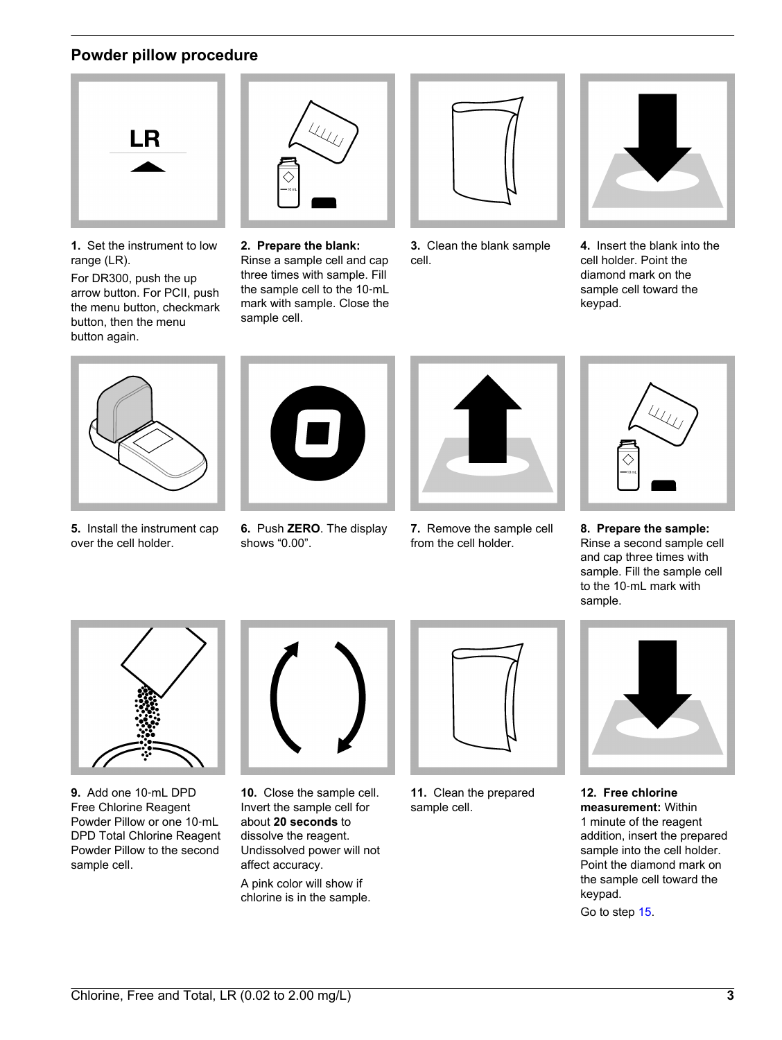# **Powder pillow procedure**



**1.** Set the instrument to low range (LR).

For DR300, push the up arrow button. For PCII, push the menu button, checkmark button, then the menu button again.



**2. Prepare the blank:** Rinse a sample cell and cap three times with sample. Fill the sample cell to the 10‑mL mark with sample. Close the sample cell.



**3.** Clean the blank sample cell.



**4.** Insert the blank into the cell holder. Point the diamond mark on the sample cell toward the keypad.



**5.** Install the instrument cap over the cell holder.



**6.** Push **ZERO**. The display shows "0.00".



**7.** Remove the sample cell from the cell holder.



**8. Prepare the sample:** Rinse a second sample cell and cap three times with sample. Fill the sample cell to the 10‑mL mark with sample.



**9.** Add one 10‑mL DPD Free Chlorine Reagent Powder Pillow or one 10‑mL DPD Total Chlorine Reagent Powder Pillow to the second sample cell.



**10.** Close the sample cell. Invert the sample cell for about **20 seconds** to dissolve the reagent. Undissolved power will not affect accuracy. A pink color will show if chlorine is in the sample.



**11.** Clean the prepared sample cell.



**12. Free chlorine measurement:** Within 1 minute of the reagent addition, insert the prepared sample into the cell holder. Point the diamond mark on the sample cell toward the keypad.

Go to step [15](#page-3-0).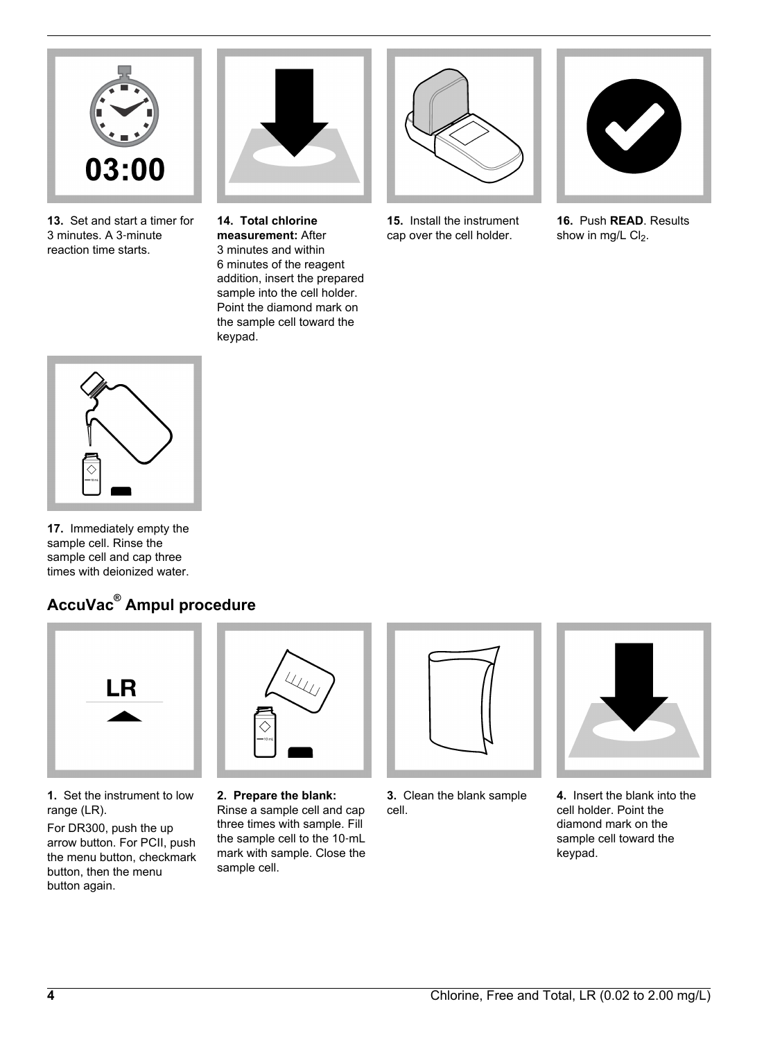

**13.** Set and start a timer for 3 minutes. A 3‑minute reaction time starts.



**14. Total chlorine measurement:** After 3 minutes and within 6 minutes of the reagent addition, insert the prepared sample into the cell holder. Point the diamond mark on the sample cell toward the keypad.



**15.** Install the instrument cap over the cell holder.



**16.** Push **READ**. Results show in mg/L  $Cl<sub>2</sub>$ .

<span id="page-3-0"></span>

**17.** Immediately empty the sample cell. Rinse the sample cell and cap three times with deionized water.

# **AccuVac® Ampul procedure**



**1.** Set the instrument to low range (LR).

For DR300, push the up arrow button. For PCII, push the menu button, checkmark button, then the menu button again.



**2. Prepare the blank:** Rinse a sample cell and cap three times with sample. Fill the sample cell to the 10‑mL mark with sample. Close the sample cell.



**3.** Clean the blank sample cell.



**4.** Insert the blank into the cell holder. Point the diamond mark on the sample cell toward the keypad.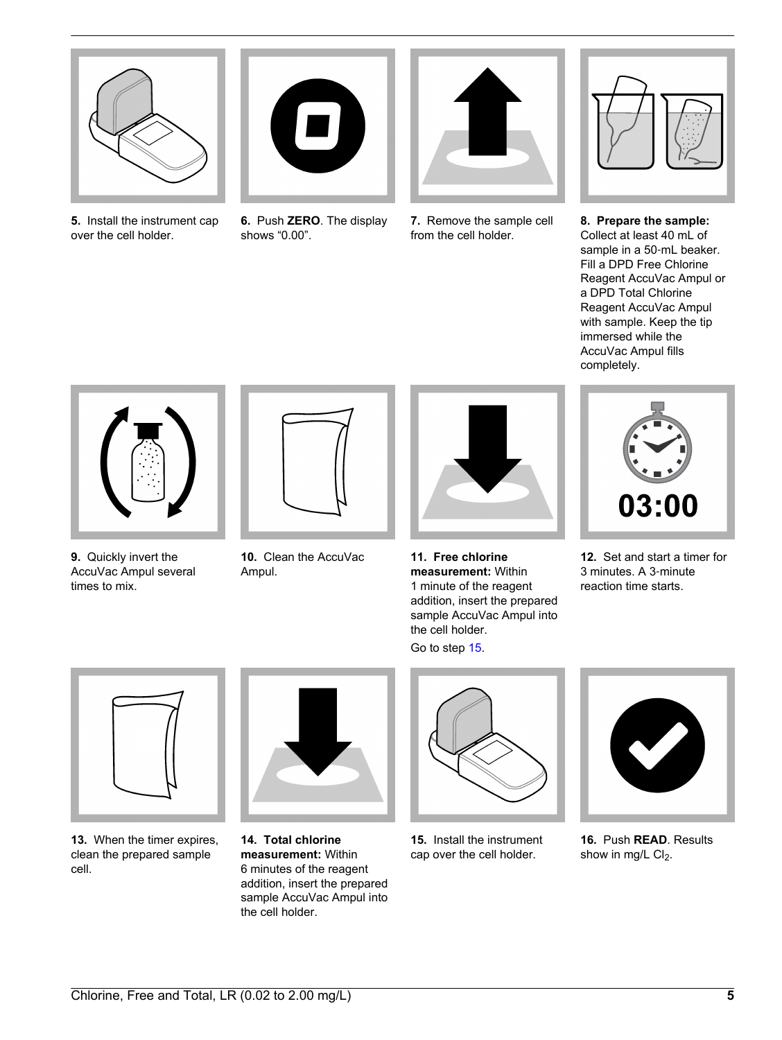

**5.** Install the instrument cap over the cell holder.



**6.** Push **ZERO**. The display shows "0.00".



**7.** Remove the sample cell from the cell holder.



**8. Prepare the sample:** Collect at least 40 mL of sample in a 50‑mL beaker. Fill a DPD Free Chlorine Reagent AccuVac Ampul or a DPD Total Chlorine Reagent AccuVac Ampul with sample. Keep the tip immersed while the AccuVac Ampul fills completely.



**9.** Quickly invert the AccuVac Ampul several times to mix.



**10.** Clean the AccuVac Ampul.



**11. Free chlorine measurement:** Within 1 minute of the reagent addition, insert the prepared sample AccuVac Ampul into the cell holder.

Go to step [15.](#page-4-0)



**12.** Set and start a timer for 3 minutes. A 3‑minute reaction time starts.

<span id="page-4-0"></span>

**13.** When the timer expires, clean the prepared sample cell.



**14. Total chlorine measurement:** Within 6 minutes of the reagent addition, insert the prepared sample AccuVac Ampul into the cell holder.



**15.** Install the instrument cap over the cell holder.



**16.** Push **READ**. Results show in mg/L  $Cl<sub>2</sub>$ .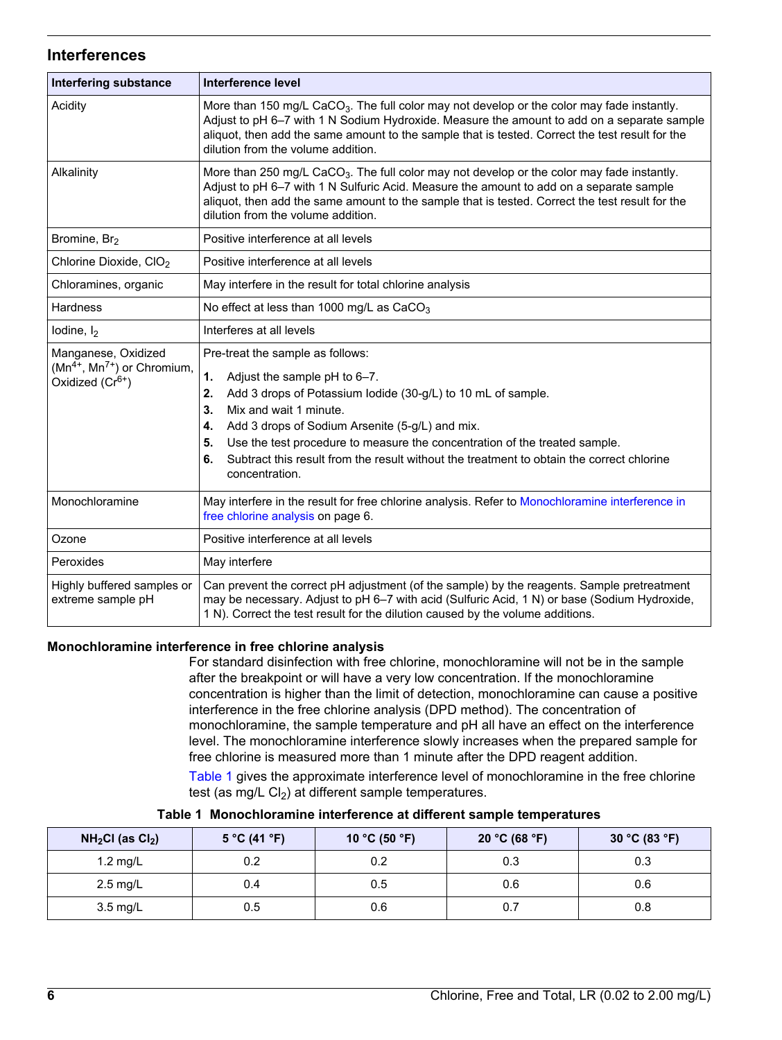# **Interferences**

| <b>Interfering substance</b>                                                             | Interference level                                                                                                                                                                                                                                                                                                                                                                                                                             |
|------------------------------------------------------------------------------------------|------------------------------------------------------------------------------------------------------------------------------------------------------------------------------------------------------------------------------------------------------------------------------------------------------------------------------------------------------------------------------------------------------------------------------------------------|
| Acidity                                                                                  | More than 150 mg/L CaCO <sub>3</sub> . The full color may not develop or the color may fade instantly.<br>Adjust to pH 6-7 with 1 N Sodium Hydroxide. Measure the amount to add on a separate sample<br>aliquot, then add the same amount to the sample that is tested. Correct the test result for the<br>dilution from the volume addition.                                                                                                  |
| Alkalinity                                                                               | More than 250 mg/L CaCO <sub>3</sub> . The full color may not develop or the color may fade instantly.<br>Adjust to pH 6-7 with 1 N Sulfuric Acid. Measure the amount to add on a separate sample<br>aliquot, then add the same amount to the sample that is tested. Correct the test result for the<br>dilution from the volume addition.                                                                                                     |
| Bromine, Br <sub>2</sub>                                                                 | Positive interference at all levels                                                                                                                                                                                                                                                                                                                                                                                                            |
| Chlorine Dioxide, CIO <sub>2</sub>                                                       | Positive interference at all levels                                                                                                                                                                                                                                                                                                                                                                                                            |
| Chloramines, organic                                                                     | May interfere in the result for total chlorine analysis                                                                                                                                                                                                                                                                                                                                                                                        |
| <b>Hardness</b>                                                                          | No effect at less than 1000 mg/L as CaCO <sub>3</sub>                                                                                                                                                                                                                                                                                                                                                                                          |
| lodine, $I_2$                                                                            | Interferes at all levels                                                                                                                                                                                                                                                                                                                                                                                                                       |
| Manganese, Oxidized<br>$(Mn^{4+}, Mn^{7+})$ or Chromium,<br>Oxidized (Cr <sup>6+</sup> ) | Pre-treat the sample as follows:<br>1.<br>Adjust the sample pH to 6-7.<br>Add 3 drops of Potassium lodide (30-g/L) to 10 mL of sample.<br>2.<br>Mix and wait 1 minute.<br>3.<br>Add 3 drops of Sodium Arsenite (5-g/L) and mix.<br>4.<br>Use the test procedure to measure the concentration of the treated sample.<br>5.<br>Subtract this result from the result without the treatment to obtain the correct chlorine<br>6.<br>concentration. |
| Monochloramine                                                                           | May interfere in the result for free chlorine analysis. Refer to Monochloramine interference in<br>free chlorine analysis on page 6.                                                                                                                                                                                                                                                                                                           |
| Ozone                                                                                    | Positive interference at all levels                                                                                                                                                                                                                                                                                                                                                                                                            |
| Peroxides                                                                                | May interfere                                                                                                                                                                                                                                                                                                                                                                                                                                  |
| Highly buffered samples or<br>extreme sample pH                                          | Can prevent the correct pH adjustment (of the sample) by the reagents. Sample pretreatment<br>may be necessary. Adjust to pH 6-7 with acid (Sulfuric Acid, 1 N) or base (Sodium Hydroxide,<br>1 N). Correct the test result for the dilution caused by the volume additions.                                                                                                                                                                   |

### **Monochloramine interference in free chlorine analysis**

For standard disinfection with free chlorine, monochloramine will not be in the sample after the breakpoint or will have a very low concentration. If the monochloramine concentration is higher than the limit of detection, monochloramine can cause a positive interference in the free chlorine analysis (DPD method). The concentration of monochloramine, the sample temperature and pH all have an effect on the interference level. The monochloramine interference slowly increases when the prepared sample for free chlorine is measured more than 1 minute after the DPD reagent addition.

[Table 1](#page-5-1) gives the approximate interference level of monochloramine in the free chlorine test (as mg/L  $Cl<sub>2</sub>$ ) at different sample temperatures.

<span id="page-5-1"></span><span id="page-5-0"></span>

| $NH2Cl$ (as $Cl2$ ) | 5 °C (41 °F) | 10 °C (50 °F) | 20 °C (68 °F) | 30 °C (83 °F) |
|---------------------|--------------|---------------|---------------|---------------|
| 1.2 mg/L            | 0.2          | 0.2           | 0.3           | 0.3           |
| $2.5 \text{ mg/L}$  | 0.4          | 0.5           | 0.6           | 0.6           |
| 3.5 mg/L            | 0.5          | 0.6           | 0.7           | 0.8           |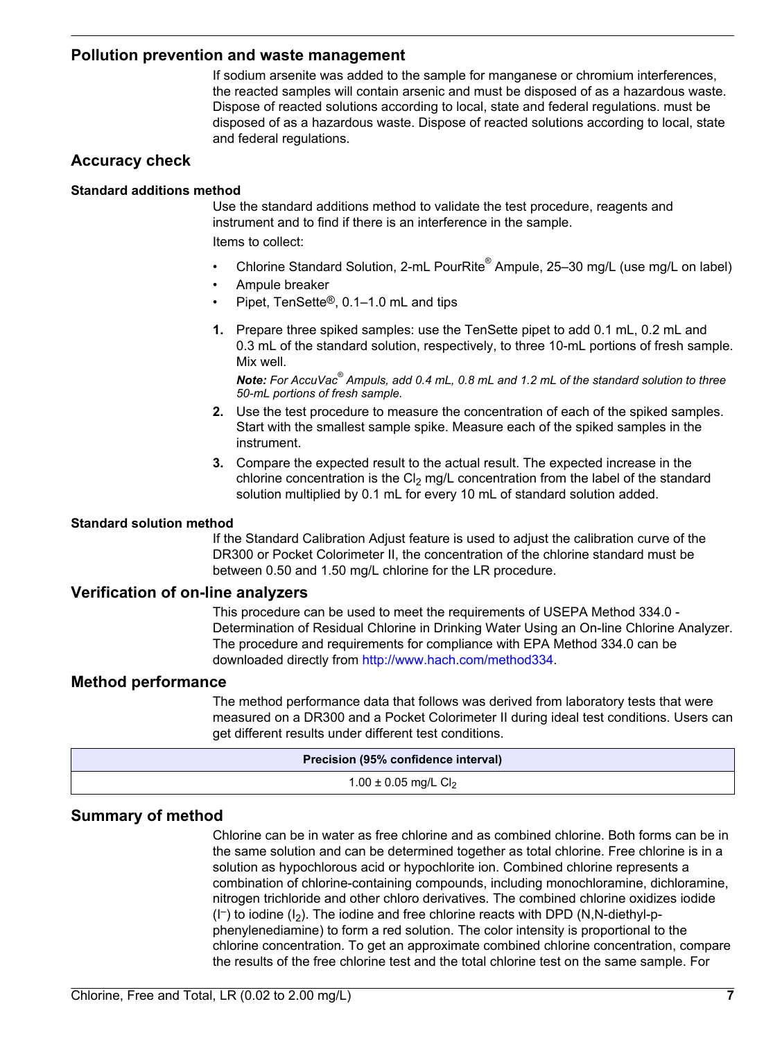# **Pollution prevention and waste management**

If sodium arsenite was added to the sample for manganese or chromium interferences, the reacted samples will contain arsenic and must be disposed of as a hazardous waste. Dispose of reacted solutions according to local, state and federal regulations. must be disposed of as a hazardous waste. Dispose of reacted solutions according to local, state and federal regulations.

# **Accuracy check**

#### **Standard additions method**

Use the standard additions method to validate the test procedure, reagents and instrument and to find if there is an interference in the sample. Items to collect:

- Chlorine Standard Solution, 2-mL PourRite® Ampule, 25–30 mg/L (use mg/L on label)
- Ampule breaker
- Pipet, TenSette®, 0.1–1.0 mL and tips
- **1.** Prepare three spiked samples: use the TenSette pipet to add 0.1 mL, 0.2 mL and 0.3 mL of the standard solution, respectively, to three 10-mL portions of fresh sample. Mix well.

*Note: For AccuVac® Ampuls, add 0.4 mL, 0.8 mL and 1.2 mL of the standard solution to three 50-mL portions of fresh sample.*

- **2.** Use the test procedure to measure the concentration of each of the spiked samples. Start with the smallest sample spike. Measure each of the spiked samples in the instrument.
- **3.** Compare the expected result to the actual result. The expected increase in the chlorine concentration is the Cl<sub>2</sub> mg/L concentration from the label of the standard solution multiplied by 0.1 mL for every 10 mL of standard solution added.

#### **Standard solution method**

If the Standard Calibration Adjust feature is used to adjust the calibration curve of the DR300 or Pocket Colorimeter II, the concentration of the chlorine standard must be between 0.50 and 1.50 mg/L chlorine for the LR procedure.

# **Verification of on-line analyzers**

This procedure can be used to meet the requirements of USEPA Method 334.0 - Determination of Residual Chlorine in Drinking Water Using an On-line Chlorine Analyzer. The procedure and requirements for compliance with EPA Method 334.0 can be downloaded directly from [http://www.hach.com/method334.](http://www.hach.com/method334)

## **Method performance**

The method performance data that follows was derived from laboratory tests that were measured on a DR300 and a Pocket Colorimeter II during ideal test conditions. Users can get different results under different test conditions.

| Precision (95% confidence interval) |  |
|-------------------------------------|--|
| 1.00 ± 0.05 mg/L $Cl2$              |  |

# **Summary of method**

Chlorine can be in water as free chlorine and as combined chlorine. Both forms can be in the same solution and can be determined together as total chlorine. Free chlorine is in a solution as hypochlorous acid or hypochlorite ion. Combined chlorine represents a combination of chlorine-containing compounds, including monochloramine, dichloramine, nitrogen trichloride and other chloro derivatives. The combined chlorine oxidizes iodide  $(I^-)$  to iodine  $(I_2)$ . The iodine and free chlorine reacts with DPD (N,N-diethyl-pphenylenediamine) to form a red solution. The color intensity is proportional to the chlorine concentration. To get an approximate combined chlorine concentration, compare the results of the free chlorine test and the total chlorine test on the same sample. For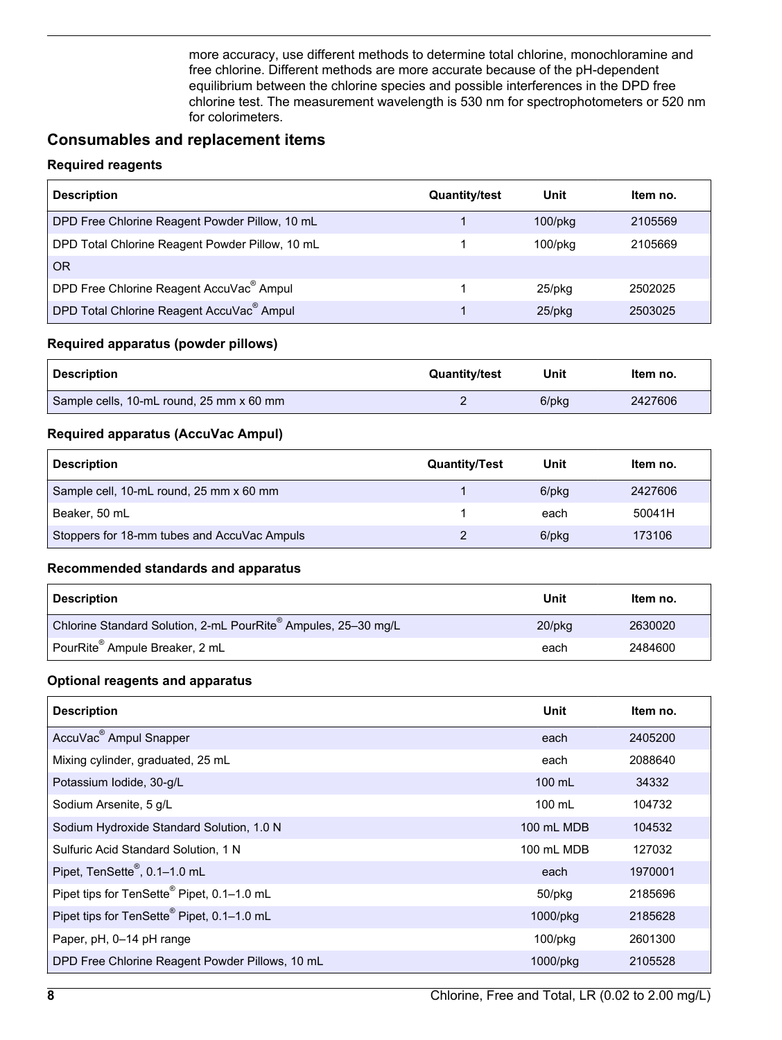more accuracy, use different methods to determine total chlorine, monochloramine and free chlorine. Different methods are more accurate because of the pH-dependent equilibrium between the chlorine species and possible interferences in the DPD free chlorine test. The measurement wavelength is 530 nm for spectrophotometers or 520 nm for colorimeters.

# **Consumables and replacement items**

# **Required reagents**

<span id="page-7-0"></span>

| <b>Description</b>                                    | <b>Quantity/test</b> | Unit          | Item no. |
|-------------------------------------------------------|----------------------|---------------|----------|
| DPD Free Chlorine Reagent Powder Pillow, 10 mL        |                      | $100$ /p $kg$ | 2105569  |
| DPD Total Chlorine Reagent Powder Pillow, 10 mL       |                      | $100$ /p $kg$ | 2105669  |
| <b>OR</b>                                             |                      |               |          |
| DPD Free Chlorine Reagent AccuVac <sup>®</sup> Ampul  |                      | $25$ /pkq     | 2502025  |
| DPD Total Chlorine Reagent AccuVac <sup>®</sup> Ampul |                      | $25$ /pkg     | 2503025  |

# **Required apparatus (powder pillows)**

| <b>Description</b>                       | <b>Quantity/test</b> | Unit  | ltem no. |
|------------------------------------------|----------------------|-------|----------|
| Sample cells, 10-mL round, 25 mm x 60 mm |                      | 6/pkg | 2427606  |

# **Required apparatus (AccuVac Ampul)**

| <b>Description</b>                          | <b>Quantity/Test</b> | Unit  | Item no. |
|---------------------------------------------|----------------------|-------|----------|
| Sample cell, 10-mL round, 25 mm x 60 mm     |                      | 6/pkg | 2427606  |
| Beaker, 50 mL                               |                      | each  | 50041H   |
| Stoppers for 18-mm tubes and AccuVac Ampuls |                      | 6/pkg | 173106   |

### **Recommended standards and apparatus**

| <b>Description</b>                                             | Unit      | Item no. |
|----------------------------------------------------------------|-----------|----------|
| Chlorine Standard Solution, 2-mL PourRite® Ampules, 25-30 mg/L | $20$ /pka | 2630020  |
| PourRite <sup>®</sup> Ampule Breaker, 2 mL                     | each      | 2484600  |

# **Optional reagents and apparatus**

| <b>Description</b>                                     | Unit       | ltem no. |
|--------------------------------------------------------|------------|----------|
| AccuVac <sup>®</sup> Ampul Snapper                     | each       | 2405200  |
| Mixing cylinder, graduated, 25 mL                      | each       | 2088640  |
| Potassium Iodide, 30-g/L                               | 100 mL     | 34332    |
| Sodium Arsenite, 5 g/L                                 | 100 mL     | 104732   |
| Sodium Hydroxide Standard Solution, 1.0 N              | 100 mL MDB | 104532   |
| Sulfuric Acid Standard Solution, 1 N                   | 100 mL MDB | 127032   |
| Pipet, TenSette <sup>®</sup> , 0.1-1.0 mL              | each       | 1970001  |
| Pipet tips for TenSette <sup>®</sup> Pipet, 0.1-1.0 mL | 50/pkg     | 2185696  |
| Pipet tips for TenSette <sup>®</sup> Pipet, 0.1-1.0 mL | 1000/pkg   | 2185628  |
| Paper, pH, 0-14 pH range                               | $100$ /pkg | 2601300  |
| DPD Free Chlorine Reagent Powder Pillows, 10 mL        | 1000/pkg   | 2105528  |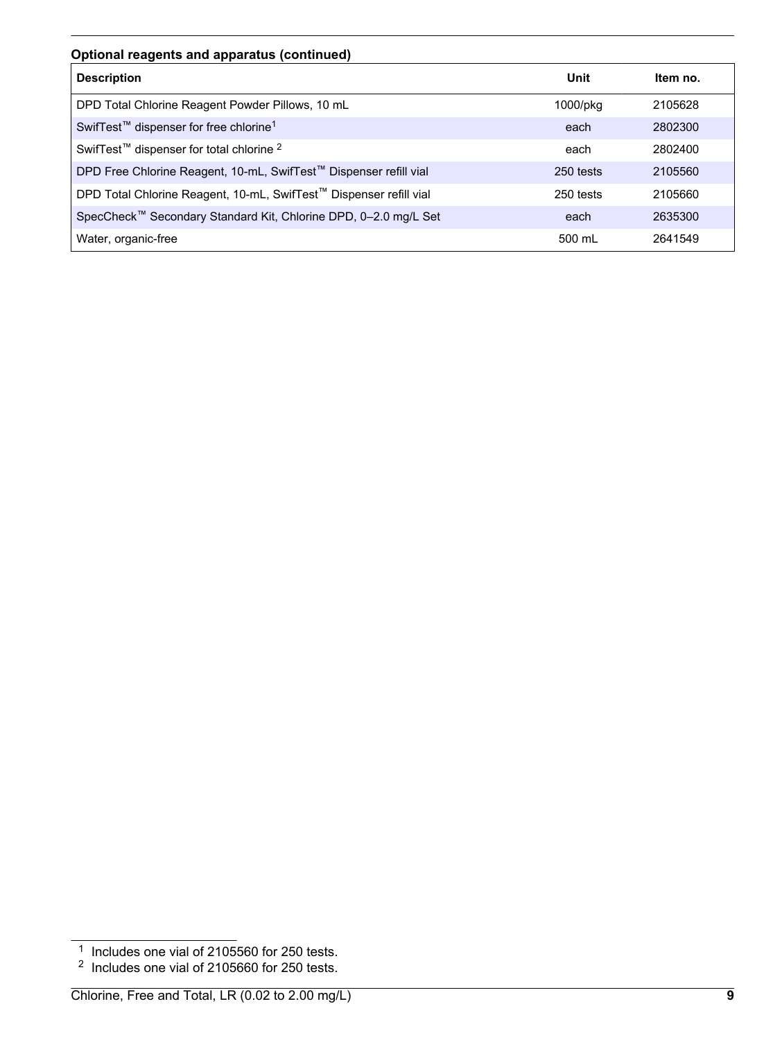# **Optional reagents and apparatus (continued)**

| <b>Description</b>                                                 | Unit      | Item no. |
|--------------------------------------------------------------------|-----------|----------|
| DPD Total Chlorine Reagent Powder Pillows, 10 mL                   | 1000/pkg  | 2105628  |
| SwifTest <sup>™</sup> dispenser for free chlorine <sup>1</sup>     | each      | 2802300  |
| SwifTest <sup>™</sup> dispenser for total chlorine <sup>2</sup>    | each      | 2802400  |
| DPD Free Chlorine Reagent, 10-mL, SwifTest™ Dispenser refill vial  | 250 tests | 2105560  |
| DPD Total Chlorine Reagent, 10-mL, SwifTest™ Dispenser refill vial | 250 tests | 2105660  |
| SpecCheck™ Secondary Standard Kit, Chlorine DPD, 0-2.0 mg/L Set    | each      | 2635300  |
| Water, organic-free                                                | 500 mL    | 2641549  |

<sup>&</sup>lt;sup>1</sup> Includes one vial of 2105560 for 250 tests.

 $2$  Includes one vial of 2105660 for 250 tests.